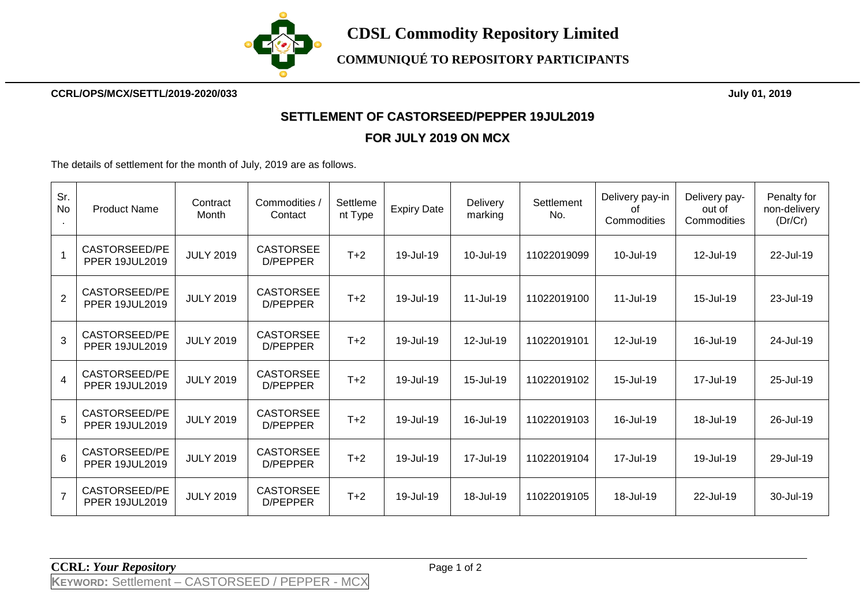

**CCRL/OPS/MCX/SETTL/2019-2020/033 July 01, 2019**

## **SETTLEMENT OF CASTORSEED/PEPPER 19JUL2019**

## **FOR JULY 2019 ON MCX**

The details of settlement for the month of July, 2019 are as follows.

| Sr.<br>No       | <b>Product Name</b>                    | Contract<br>Month | Commodities /<br>Contact     | Settleme<br>nt Type | <b>Expiry Date</b> | Delivery<br>marking | Settlement<br>No. | Delivery pay-in<br>οf<br>Commodities | Delivery pay-<br>out of<br>Commodities | Penalty for<br>non-delivery<br>(Dr/Cr) |
|-----------------|----------------------------------------|-------------------|------------------------------|---------------------|--------------------|---------------------|-------------------|--------------------------------------|----------------------------------------|----------------------------------------|
|                 | CASTORSEED/PE<br><b>PPER 19JUL2019</b> | <b>JULY 2019</b>  | <b>CASTORSEE</b><br>D/PEPPER | $T+2$               | 19-Jul-19          | 10-Jul-19           | 11022019099       | 10-Jul-19                            | 12-Jul-19                              | 22-Jul-19                              |
| $\overline{2}$  | CASTORSEED/PE<br><b>PPER 19JUL2019</b> | <b>JULY 2019</b>  | <b>CASTORSEE</b><br>D/PEPPER | $T+2$               | 19-Jul-19          | 11-Jul-19           | 11022019100       | 11-Jul-19                            | 15-Jul-19                              | 23-Jul-19                              |
| 3               | CASTORSEED/PE<br><b>PPER 19JUL2019</b> | <b>JULY 2019</b>  | <b>CASTORSEE</b><br>D/PEPPER | $T+2$               | 19-Jul-19          | 12-Jul-19           | 11022019101       | 12-Jul-19                            | 16-Jul-19                              | 24-Jul-19                              |
| $\overline{4}$  | CASTORSEED/PE<br><b>PPER 19JUL2019</b> | <b>JULY 2019</b>  | <b>CASTORSEE</b><br>D/PEPPER | $T+2$               | 19-Jul-19          | 15-Jul-19           | 11022019102       | 15-Jul-19                            | 17-Jul-19                              | 25-Jul-19                              |
| 5               | CASTORSEED/PE<br><b>PPER 19JUL2019</b> | <b>JULY 2019</b>  | <b>CASTORSEE</b><br>D/PEPPER | $T+2$               | 19-Jul-19          | 16-Jul-19           | 11022019103       | 16-Jul-19                            | 18-Jul-19                              | 26-Jul-19                              |
| $6\overline{6}$ | CASTORSEED/PE<br><b>PPER 19JUL2019</b> | <b>JULY 2019</b>  | <b>CASTORSEE</b><br>D/PEPPER | $T+2$               | 19-Jul-19          | 17-Jul-19           | 11022019104       | 17-Jul-19                            | 19-Jul-19                              | 29-Jul-19                              |
| $\overline{7}$  | CASTORSEED/PE<br><b>PPER 19JUL2019</b> | <b>JULY 2019</b>  | <b>CASTORSEE</b><br>D/PEPPER | $T+2$               | 19-Jul-19          | 18-Jul-19           | 11022019105       | 18-Jul-19                            | 22-Jul-19                              | 30-Jul-19                              |

**CCRL:** *Your Repository* Page 1 of 2

**KEYWORD:** Settlement – CASTORSEED / PEPPER - MCX